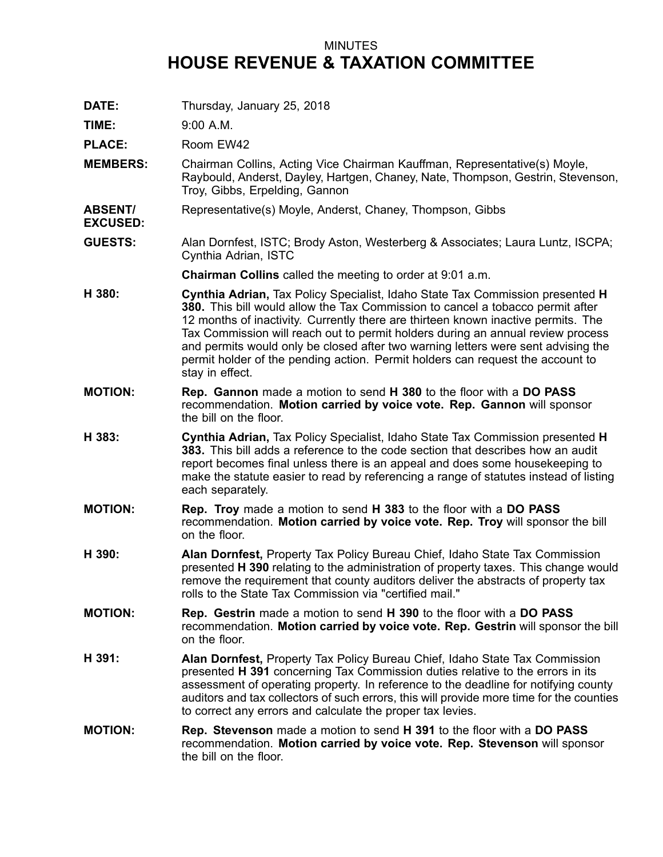## MINUTES **HOUSE REVENUE & TAXATION COMMITTEE**

**DATE:** Thursday, January 25, 2018

**TIME:** 9:00 A.M.

**EXCUSED:**

PLACE: Room EW42

- **MEMBERS:** Chairman Collins, Acting Vice Chairman Kauffman, Representative(s) Moyle, Raybould, Anderst, Dayley, Hartgen, Chaney, Nate, Thompson, Gestrin, Stevenson, Troy, Gibbs, Erpelding, Gannon
- **ABSENT/** Representative(s) Moyle, Anderst, Chaney, Thompson, Gibbs
- **GUESTS:** Alan Dornfest, ISTC; Brody Aston, Westerberg & Associates; Laura Luntz, ISCPA; Cynthia Adrian, ISTC

**Chairman Collins** called the meeting to order at 9:01 a.m.

- **H 380: Cynthia Adrian,** Tax Policy Specialist, Idaho State Tax Commission presented **H 380.** This bill would allow the Tax Commission to cancel <sup>a</sup> tobacco permit after 12 months of inactivity. Currently there are thirteen known inactive permits. The Tax Commission will reach out to permit holders during an annual review process and permits would only be closed after two warning letters were sent advising the permit holder of the pending action. Permit holders can request the account to stay in effect.
- **MOTION: Rep. Gannon** made <sup>a</sup> motion to send **H 380** to the floor with <sup>a</sup> **DO PASS** recommendation. **Motion carried by voice vote. Rep. Gannon** will sponsor the bill on the floor.
- **H 383: Cynthia Adrian,** Tax Policy Specialist, Idaho State Tax Commission presented **H 383.** This bill adds a reference to the code section that describes how an audit report becomes final unless there is an appeal and does some housekeeping to make the statute easier to read by referencing <sup>a</sup> range of statutes instead of listing each separately.
- **MOTION: Rep. Troy** made <sup>a</sup> motion to send **H 383** to the floor with <sup>a</sup> **DO PASS** recommendation. **Motion carried by voice vote. Rep. Troy** will sponsor the bill on the floor.
- **H 390: Alan Dornfest,** Property Tax Policy Bureau Chief, Idaho State Tax Commission presented **H 390** relating to the administration of property taxes. This change would remove the requirement that county auditors deliver the abstracts of property tax rolls to the State Tax Commission via "certified mail."
- **MOTION: Rep. Gestrin** made <sup>a</sup> motion to send **H 390** to the floor with <sup>a</sup> **DO PASS** recommendation. **Motion carried by voice vote. Rep. Gestrin** will sponsor the bill on the floor.
- **H 391: Alan Dornfest,** Property Tax Policy Bureau Chief, Idaho State Tax Commission presented **H 391** concerning Tax Commission duties relative to the errors in its assessment of operating property. In reference to the deadline for notifying county auditors and tax collectors of such errors, this will provide more time for the counties to correct any errors and calculate the proper tax levies.
- **MOTION: Rep. Stevenson** made <sup>a</sup> motion to send **H 391** to the floor with <sup>a</sup> **DO PASS** recommendation. **Motion carried by voice vote. Rep. Stevenson** will sponsor the bill on the floor.